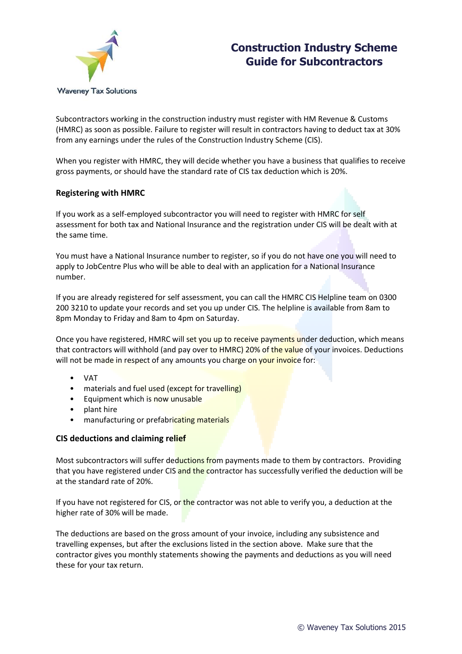

# **Construction Industry Scheme Guide for Subcontractors**

Subcontractors working in the construction industry must register with HM Revenue & Customs (HMRC) as soon as possible. Failure to register will result in contractors having to deduct tax at 30% from any earnings under the rules of the Construction Industry Scheme (CIS).

When you register with HMRC, they will decide whether you have a business that qualifies to receive gross payments, or should have the standard rate of CIS tax deduction which is 20%.

## **Registering with HMRC**

If you work as a self-employed subcontractor you will need to register with HMRC for self assessment for both tax and National Insurance and the registration under CIS will be dealt with at the same time.

You must have a National Insurance number to register, so if you do not have one you will need to apply to JobCentre Plus who will be able to deal with an application for a National Insurance number.

If you are already registered for self assessment, you can call the HMRC CIS Helpline team on 0300 200 3210 to update your records and set you up under CIS. The helpline is available from 8am to 8pm Monday to Friday and 8am to 4pm on Saturday.

Once you have registered, HMRC will set you up to receive payments under deduction, which means that contractors will withhold (and pay over to HMRC) 20% of the value of your invoices. Deductions will not be made in respect of any amounts you charge on your invoice for:

- VAT
- materials and fuel used (except for travelling)
- Equipment which is now unusable
- plant hire
- manufacturing or prefabricating materials

## **CIS deductions and claiming relief**

Most subcontractors will suffer deductions from payments made to them by contractors. Providing that you have registered under CIS and the contractor has successfully verified the deduction will be at the standard rate of 20%.

If you have not registered for CIS, or the contractor was not able to verify you, a deduction at the higher rate of 30% will be made.

The deductions are based on the gross amount of your invoice, including any subsistence and travelling expenses, but after the exclusions listed in the section above. Make sure that the contractor gives you monthly statements showing the payments and deductions as you will need these for your tax return.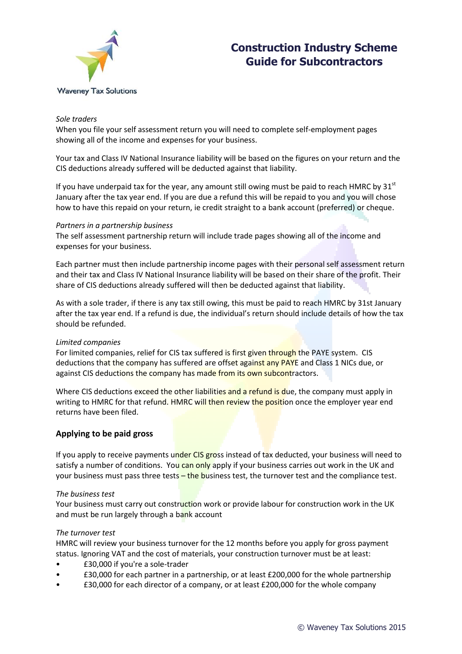

# **Construction Industry Scheme Guide for Subcontractors**

#### *Sole traders*

When you file your self assessment return you will need to complete self-employment pages showing all of the income and expenses for your business.

Your tax and Class IV National Insurance liability will be based on the figures on your return and the CIS deductions already suffered will be deducted against that liability.

If you have underpaid tax for the year, any amount still owing must be paid to reach HMRC by  $31<sup>st</sup>$ January after the tax year end. If you are due a refund this will be repaid to you and you will chose how to have this repaid on your return, ie credit straight to a bank account (preferred) or cheque.

#### *Partners in a partnership business*

The self assessment partnership return will include trade pages showing all of the income and expenses for your business.

Each partner must then include partnership income pages with their personal self assessment return and their tax and Class IV National Insurance liability will be based on their share of the profit. Their share of CIS deductions already suffered will then be deducted against that liability.

As with a sole trader, if there is any tax still owing, this must be paid to reach HMRC by 31st January after the tax year end. If a refund is due, the individual's return should include details of how the tax should be refunded.

### *Limited companies*

For limited companies, relief for CIS tax suffered is first given through the PAYE system. CIS deductions that the company has suffered are offset against any PAYE and Class 1 NICs due, or against CIS deductions the company has made from its own subcontractors.

Where CIS deductions exceed the other liabilities and a refund is due, the company must apply in writing to HMRC for that refund. HMRC will then review the position once the employer year end returns have been filed.

### **Applying to be paid gross**

If you apply to receive payments under CIS gross instead of tax deducted, your business will need to satisfy a number of conditions. You can only apply if your business carries out work in the UK and your business must pass three tests - the business test, the turnover test and the compliance test.

#### *The business test*

Your business must carry out construction work or provide labour for construction work in the UK and must be run largely through a bank account

### *The turnover test*

HMRC will review your business turnover for the 12 months before you apply for gross payment status. Ignoring VAT and the cost of materials, your construction turnover must be at least:

- £30,000 if you're a sole-trader
- £30,000 for each partner in a partnership, or at least £200,000 for the whole partnership
- £30,000 for each director of a company, or at least £200,000 for the whole company